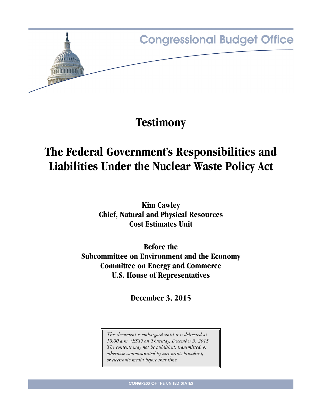

**Testimony**

# **The Federal Government's Responsibilities and Liabilities Under the Nuclear Waste Policy Act**

**Kim Cawley Chief, Natural and Physical Resources Cost Estimates Unit**

**Before the Subcommittee on Environment and the Economy Committee on Energy and Commerce U.S. House of Representatives**

**December 3, 2015**

*This document is embargoed until it is delivered at 10:00 a.m. (EST) on Thursday, December 3, 2015. The contents may not be published, transmitted, or otherwise communicated by any print, broadcast, or electronic media before that time.*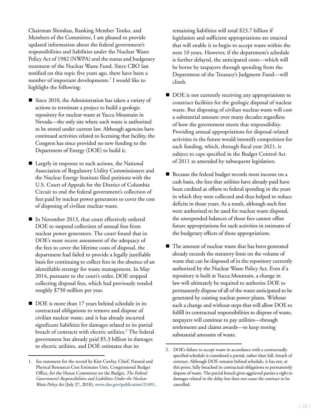Chairman Shimkus, Ranking Member Tonko, and Members of the Committee, I am pleased to provide updated information about the federal government's responsibilities and liabilities under the Nuclear Waste Policy Act of 1982 (NWPA) and the status and budgetary treatment of the Nuclear Waste Fund. Since CBO last testified on this topic five years ago, there have been a number of important developments.<sup>1</sup> I would like to highlight the following:

- Since 2010, the Administration has taken a variety of actions to terminate a project to build a geologic repository for nuclear waste at Yucca Mountain in Nevada—the only site where such waste is authorized to be stored under current law. Although agencies have continued activities related to licensing that facility, the Congress has since provided no new funding to the Department of Energy (DOE) to build it.
- Largely in response to such actions, the National Association of Regulatory Utility Commissioners and the Nuclear Energy Institute filed petitions with the U.S. Court of Appeals for the District of Columbia Circuit to end the federal government's collection of fees paid by nuclear power generators to cover the cost of disposing of civilian nuclear waste.
- In November 2013, that court effectively ordered DOE to suspend collection of annual fees from nuclear power generators. The court found that in DOE's most recent assessment of the adequacy of the fees to cover the lifetime costs of disposal, the department had failed to provide a legally justifiable basis for continuing to collect fees in the absence of an identifiable strategy for waste management. In May 2014, pursuant to the court's order, DOE stopped collecting disposal fees, which had previously totaled roughly \$750 million per year.
- DOE is more than 17 years behind schedule in its contractual obligations to remove and dispose of civilian nuclear waste, and it has already incurred significant liabilities for damages related to its partial breach of contracts with electric utilities.<sup>2</sup> The federal government has already paid \$5.3 billion in damages to electric utilities, and DOE estimates that its

remaining liabilities will total \$23.7 billion if legislation and sufficient appropriations are enacted that will enable it to begin to accept waste within the next 10 years. However, if the department's schedule is further delayed, the anticipated costs—which will be borne by taxpayers through spending from the Department of the Treasury's Judgment Fund—will climb.

- DOE is not currently receiving any appropriations to construct facilities for the geologic disposal of nuclear waste. But disposing of civilian nuclear waste will cost a substantial amount over many decades regardless of how the government meets that responsibility. Providing annual appropriations for disposal-related activities in the future would intensify competition for such funding, which, through fiscal year 2021, is subject to caps specified in the Budget Control Act of 2011 as amended by subsequent legislation.
- Because the federal budget records most income on a cash basis, the fees that utilities have already paid have been credited as offsets to federal spending in the years in which they were collected and thus helped to reduce deficits in those years. As a result, although such fees were authorized to be used for nuclear waste disposal, the unexpended balances of those fees cannot offset future appropriations for such activities in estimates of the budgetary effects of those appropriations.
- The amount of nuclear waste that has been generated already exceeds the statutory limit on the volume of waste that can be disposed of in the repository currently authorized by the Nuclear Waste Policy Act. Even if a repository is built at Yucca Mountain, a change in law will ultimately be required to authorize DOE to permanently dispose of all of the waste anticipated to be generated by existing nuclear power plants. Without such a change and without steps that will allow DOE to fulfill its contractual responsibilities to dispose of waste, taxpayers will continue to pay utilities—through settlements and claims awards—to keep storing substantial amounts of waste.

<sup>1.</sup> See statement for the record by Kim Cawley, Chief, Natural and Physical Resources Cost Estimates Unit, Congressional Budget Office, for the House Committee on the Budget, *The Federal Government's Responsibilities and Liabilities Under the Nuclear Waste Policy Act* (July 27, 2010), [www.cbo.gov/publication/21691.](https://www.cbo.gov/publication/21691)

<sup>2.</sup> DOE's failure to accept waste in accordance with a contractually specified schedule is considered a partial, rather than full, breach of contract. Although DOE remains behind schedule, it has not, at this point, fully breached its contractual obligations to permanently dispose of waste. The partial breach gives aggrieved parties a right to damages related to the delay but does not cause the contract to be cancelled.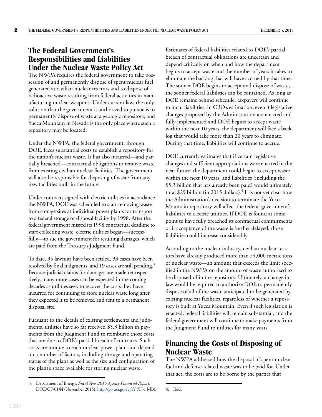## **The Federal Government's Responsibilities and Liabilities Under the Nuclear Waste Policy Act**

The NWPA requires the federal government to take possession of and permanently dispose of spent nuclear fuel generated at civilian nuclear reactors and to dispose of radioactive waste resulting from federal activities in manufacturing nuclear weapons. Under current law, the only solution that the government is authorized to pursue is to permanently dispose of waste at a geologic repository, and Yucca Mountain in Nevada is the only place where such a repository may be located.

Under the NWPA, the federal government, through DOE, faces substantial costs to establish a repository for the nation's nuclear waste. It has also incurred—and partially breached—contractual obligations to remove waste from existing civilian nuclear facilities. The government will also be responsible for disposing of waste from any new facilities built in the future.

Under contracts signed with electric utilities in accordance the NWPA, DOE was scheduled to start removing waste from storage sites at individual power plants for transport to a federal storage or disposal facility by 1998. After the federal government missed its 1998 contractual deadline to start collecting waste, electric utilities began—successfully—to sue the government for resulting damages, which are paid from the Treasury's Judgment Fund.

To date, 35 lawsuits have been settled, 33 cases have been resolved by final judgments, and 19 cases are still pending.<sup>3</sup> Because judicial claims for damages are made retrospectively, many more cases can be expected in the coming decades as utilities seek to recover the costs they have incurred for continuing to store nuclear waste long after they expected it to be removed and sent to a permanent disposal site.

Pursuant to the details of existing settlements and judgments, utilities have so far received \$5.3 billion in payments from the Judgment Fund to reimburse those costs that are due to DOE's partial breach of contracts. Such costs are unique to each nuclear power plant and depend on a number of factors, including the age and operating status of the plant as well as the size and configuration of the plant's space available for storing nuclear waste.

Estimates of federal liabilities related to DOE's partial breach of contractual obligations are uncertain and depend critically on when and how the department begins to accept waste and the number of years it takes to eliminate the backlog that will have accrued by that time. The sooner DOE begins to accept and dispose of waste, the sooner federal liabilities can be contained. As long as DOE remains behind schedule, taxpayers will continue to incur liabilities. In CBO's estimation, even if legislative changes proposed by the Administration are enacted and fully implemented and DOE begins to accept waste within the next 10 years, the department will face a backlog that would take more than 20 years to eliminate. During that time, liabilities will continue to accrue.

DOE currently estimates that if certain legislative changes and sufficient appropriations were enacted in the near future, the department could begin to accept waste within the next 10 years, and liabilities (including the \$5.3 billion that has already been paid) would ultimately total \$29 billion (in 2015 dollars).<sup>4</sup> It is not yet clear how the Administration's decision to terminate the Yucca Mountain repository will affect the federal government's liabilities to electric utilities. If DOE is found at some point to have fully breached its contractual commitments or if acceptance of the waste is further delayed, those liabilities could increase considerably.

According to the nuclear industry, civilian nuclear reactors have already produced more than 74,000 metric tons of nuclear waste—an amount that exceeds the limit specified in the NWPA on the amount of waste authorized to be disposed of in the repository. Ultimately, a change in law would be required to authorize DOE to permanently dispose of all of the waste anticipated to be generated by existing nuclear facilities, regardless of whether a repository is built at Yucca Mountain. Even if such legislation is enacted, federal liabilities will remain substantial, and the federal government will continue to make payments from the Judgment Fund to utilities for many years.

# **Financing the Costs of Disposing of Nuclear Waste**

The NWPA addressed how the disposal of spent nuclear fuel and defense-related waste was to be paid for. Under that act, the costs are to be borne by the parties that

<sup>3.</sup> Department of Energy, *Fiscal Year 2015 Agency Financial Report*, DOE/CF-0144 (November 2015),<http://go.usa.gov/cjftY>(5.31 MB). 4. Ibid.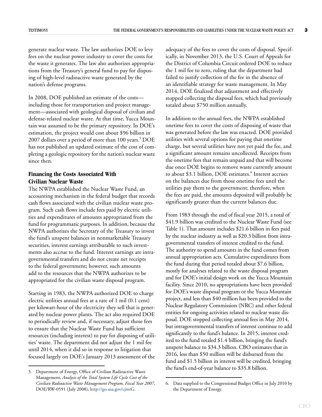generate nuclear waste. The law authorizes DOE to levy fees on the nuclear power industry to cover the costs for the waste it generates. The law also authorizes appropriations from the Treasury's general fund to pay for disposing of high-level radioactive waste generated by the nation's defense programs.

In 2008, DOE published an estimate of the costs including those for transportation and project management—associated with geological disposal of civilian and defense-related nuclear waste. At that time, Yucca Mountain was assumed to be the primary repository. In DOE's estimation, the project would cost about \$96 billion in 2007 dollars over a period of more than 100 years.<sup>5</sup> DOE has not published an updated estimate of the cost of completing a geologic repository for the nation's nuclear waste since then.

#### **Financing the Costs Associated With Civilian Nuclear Waste**

The NWPA established the Nuclear Waste Fund, an accounting mechanism in the federal budget that records cash flows associated with the civilian nuclear waste program. Such cash flows include fees paid by electric utilities and expenditures of amounts appropriated from the fund for programmatic purposes. In addition, because the NWPA authorizes the Secretary of the Treasury to invest the fund's unspent balances in nonmarketable Treasury securities, interest earnings attributable to such investments also accrue to the fund. Interest earnings are intragovernmental transfers and do not create net receipts to the federal government; however, such amounts add to the resources that the NWPA authorizes to be appropriated for the civilian waste disposal program.

Starting in 1983, the NWPA authorized DOE to charge electric utilities annual fees at a rate of 1 mil (0.1 cent) per kilowatt-hour of the electricity they sell that is generated by nuclear power plants. The act also required DOE to periodically review and, if necessary, adjust those fees to ensure that the Nuclear Waste Fund has sufficient resources (including interest) to pay for disposing of utilities' waste. The department did not adjust the 1 mil fee until 2014, when it did so in response to litigation that focused largely on DOE's January 2013 assessment of the

adequacy of the fees to cover the costs of disposal. Specifically, in November 2013, the U.S. Court of Appeals for the District of Columbia Circuit ordered DOE to reduce the 1 mil fee to zero, ruling that the department had failed to justify collection of the fee in the absence of an identifiable strategy for waste management. In May 2014, DOE finalized that adjustment and effectively stopped collecting the disposal fees, which had previously totaled about \$750 million annually.

In addition to the annual fees, the NWPA established onetime fees to cover the costs of disposing of waste that was generated before the law was enacted. DOE provided utilities with several options for paying that onetime charge, but several utilities have not yet paid the fee, and a significant amount remains uncollected. Receipts from the onetime fees that remain unpaid and that will become due once DOE begins to remove waste currently amount to about \$3.1 billion, DOE estimates.<sup>6</sup> Interest accrues on the balances due from those onetime fees until the utilities pay them to the government; therefore, when the fees are paid, the amounts deposited will probably be significantly greater than the current balances due.

From 1983 through the end of fiscal year 2015, a total of \$41.9 billion was credited to the Nuclear Waste Fund (see [Table 1](#page-5-0)). That amount includes \$21.6 billion in fees paid by the nuclear industry as well as \$20.3 billion from intragovernmental transfers of interest credited to the fund. The authority to spend amounts in the fund comes from annual appropriation acts. Cumulative expenditures from the fund during that period totaled about \$7.6 billion, mostly for analyses related to the waste disposal program and for DOE's initial design work on the Yucca Mountain facility. Since 2010, no appropriations have been provided for DOE's waste disposal program or the Yucca Mountain project, and less than \$40 million has been provided to the Nuclear Regulatory Commission (NRC) and other federal entities for ongoing activities related to nuclear waste disposal. DOE stopped collecting annual fees in May 2014, but intragovernmental transfers of interest continue to add significantly to the fund's balance. In 2015, interest credited to the fund totaled \$1.4 billion, bringing the fund's unspent balance to \$34.3 billion. CBO estimates that in 2016, less than \$50 million will be disbursed from the fund and \$1.5 billion in interest will be credited, bringing the fund's end-of-year balance to \$35.8 billion. 5. Department of Energy, Office of Civilian Radioactive Waste

Management, *Analysis of the Total System Life Cycle Cost of the Civilian Radioactive Waste Management Program, Fiscal Year 2007,* DOE/RW-0591 (July 2008), [http://go.usa.gov/cjmtG.](http://go.usa.gov/cjmtG)

<sup>6.</sup> Data supplied to the Congressional Budget Office in July 2010 by the Department of Energy.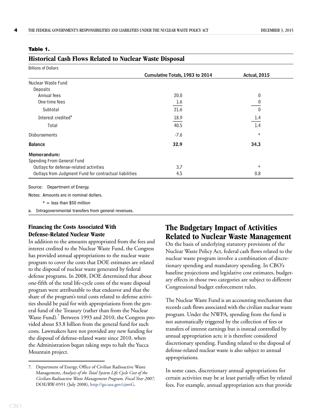#### <span id="page-5-0"></span>**Table 1.**

| Historical Cash Flows Related to Nuclear Waste Disposal |  |  |  |  |  |  |  |
|---------------------------------------------------------|--|--|--|--|--|--|--|
|---------------------------------------------------------|--|--|--|--|--|--|--|

| <b>Billions of Dollars</b>                             |                                 |                     |
|--------------------------------------------------------|---------------------------------|---------------------|
|                                                        | Cumulative Totals, 1983 to 2014 | <b>Actual, 2015</b> |
| Nuclear Waste Fund                                     |                                 |                     |
| Deposits                                               |                                 |                     |
| Annual fees                                            | 20.0                            | 0                   |
| One-time fees                                          | 1.6                             | 0                   |
| Subtotal                                               | 21.6                            | $\mathbf{0}$        |
| Interest credited <sup>a</sup>                         | 18.9                            | 1.4                 |
| Total                                                  | 40.5                            | 1.4                 |
| <b>Disbursements</b>                                   | $-7.6$                          | $^\star$            |
| <b>Balance</b>                                         | 32.9                            | 34.3                |
| Memorandum:                                            |                                 |                     |
| Spending From General Fund                             |                                 |                     |
| Outlays for defense-related activities                 | 3.7                             | $^\star$            |
| Outlays from Judgment Fund for contractual liabilities | 4.5                             | 0.8                 |

Source: Department of Energy.

Notes: Amounts are in nominal dollars.

 $* =$  less than \$50 million

a. Intragovernmental transfers from general revenues.

#### **Financing the Costs Associated With Defense-Related Nuclear Waste**

In addition to the amounts appropriated from the fees and interest credited to the Nuclear Waste Fund, the Congress has provided annual appropriations to the nuclear waste program to cover the costs that DOE estimates are related to the disposal of nuclear waste generated by federal defense programs. In 2008, DOE determined that about one-fifth of the total life-cycle costs of the waste disposal program were attributable to that endeavor and that the share of the program's total costs related to defense activities should be paid for with appropriations from the general fund of the Treasury (rather than from the Nuclear Waste Fund).<sup>7</sup> Between 1993 and 2010, the Congress provided about \$3.8 billion from the general fund for such costs. Lawmakers have not provided any new funding for the disposal of defense-related waste since 2010, when the Administration began taking steps to halt the Yucca Mountain project.

## **The Budgetary Impact of Activities Related to Nuclear Waste Management**

On the basis of underlying statutory provisions of the Nuclear Waste Policy Act, federal cash flows related to the nuclear waste program involve a combination of discretionary spending and mandatory spending. In CBO's baseline projections and legislative cost estimates, budgetary effects in those two categories are subject to different Congressional budget enforcement rules.

The Nuclear Waste Fund is an accounting mechanism that records cash flows associated with the civilian nuclear waste program. Under the NWPA, spending from the fund is not automatically triggered by the collection of fees or transfers of interest earnings but is instead controlled by annual appropriation acts; it is therefore considered discretionary spending. Funding related to the disposal of defense-related nuclear waste is also subject to annual appropriations.

In some cases, discretionary annual appropriations for certain activities may be at least partially offset by related fees. For example, annual appropriation acts that provide

<sup>7.</sup> Department of Energy, Office of Civilian Radioactive Waste Management, *Analysis of the Total System Life Cycle Cost of the Civilian Radioactive Waste Management Program, Fiscal Year 2007,* DOE/RW-0591 (July 2008), [http://go.usa.gov/cjmtG.](http://go.usa.gov/cjmtG)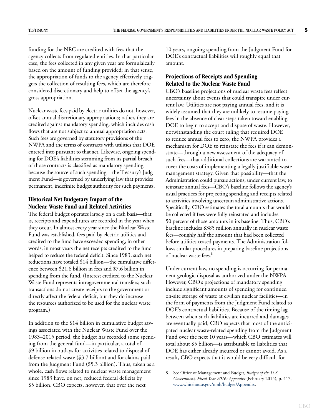funding for the NRC are credited with fees that the agency collects from regulated entities. In that particular case, the fees collected in any given year are formulaically based on the amount of funding provided; in that sense, the appropriation of funds to the agency effectively triggers the collection of resulting fees, which are therefore considered discretionary and help to offset the agency's gross appropriation.

Nuclear waste fees paid by electric utilities do not, however, offset annual discretionary appropriations; rather, they are credited against mandatory spending, which includes cash flows that are not subject to annual appropriation acts. Such fees are governed by statutory provisions of the NWPA and the terms of contracts with utilities that DOE entered into pursuant to that act. Likewise, ongoing spending for DOE's liabilities stemming from its partial breach of those contracts is classified as mandatory spending because the source of such spending—the Treasury's Judgment Fund—is governed by underlying law that provides permanent, indefinite budget authority for such payments.

#### **Historical Net Budgetary Impact of the Nuclear Waste Fund and Related Activities**

The federal budget operates largely on a cash basis—that is, receipts and expenditures are recorded in the year when they occur. In almost every year since the Nuclear Waste Fund was established, fees paid by electric utilities and credited to the fund have exceeded spending; in other words, in most years the net receipts credited to the fund helped to reduce the federal deficit. Since 1983, such net reductions have totaled \$14 billion—the cumulative difference between \$21.6 billion in fees and \$7.6 billion in spending from the fund. (Interest credited to the Nuclear Waste Fund represents intragovernmental transfers; such transactions do not create receipts to the government or directly affect the federal deficit, but they do increase the resources authorized to be used for the nuclear waste program.)

In addition to the \$14 billion in cumulative budget savings associated with the Nuclear Waste Fund over the 1983–2015 period, the budget has recorded some spending from the general fund—in particular, a total of \$9 billion in outlays for activities related to disposal of defense-related waste (\$3.7 billion) and for claims paid from the Judgment Fund (\$5.3 billion). Thus, taken as a whole, cash flows related to nuclear waste management since 1983 have, on net, reduced federal deficits by \$5 billion. CBO expects, however, that over the next

10 years, ongoing spending from the Judgment Fund for DOE's contractual liabilities will roughly equal that amount.

### **Projections of Receipts and Spending Related to the Nuclear Waste Fund**

CBO's baseline projections of nuclear waste fees reflect uncertainty about events that could transpire under current law. Utilities are not paying annual fees, and it is widely assumed that they are unlikely to resume paying fees in the absence of clear steps taken toward enabling DOE to begin to accept and dispose of waste. However, notwithstanding the court ruling that required DOE to reduce annual fees to zero, the NWPA provides a mechanism for DOE to reinstate the fees if it can demonstrate—through a new assessment of the adequacy of such fees—that additional collections are warranted to cover the costs of implementing a legally justifiable waste management strategy. Given that possibility—that the Administration could pursue actions, under current law, to reinstate annual fees—CBO's baseline follows the agency's usual practices for projecting spending and receipts related to activities involving uncertain administrative actions. Specifically, CBO estimates the total amounts that would be collected if fees were fully reinstated and includes 50 percent of those amounts in its baseline. Thus, CBO's baseline includes \$385 million annually in nuclear waste fees—roughly half the amount that had been collected before utilities ceased payments. The Administration follows similar procedures in preparing baseline projections of nuclear waste fees.<sup>8</sup>

Under current law, no spending is occurring for permanent geologic disposal as authorized under the NWPA. However, CBO's projections of mandatory spending include significant amounts of spending for continued on-site storage of waste at civilian nuclear facilities—in the form of payments from the Judgment Fund related to DOE's contractual liabilities. Because of the timing lag between when such liabilities are incurred and damages are eventually paid, CBO expects that most of the anticipated nuclear waste-related spending from the Judgment Fund over the next 10 years—which CBO estimates will total about \$5 billion—is attributable to liabilities that DOE has either already incurred or cannot avoid. As a result, CBO expects that it would be very difficult for

<sup>8.</sup> See Office of Management and Budget, *Budget of the U.S. Government, Fiscal Year 2016: Appendix* (February 2015), p. 417, [www.whitehouse.gov/omb/budget/Appendix.](https://www.whitehouse.gov/omb/budget/Appendix)